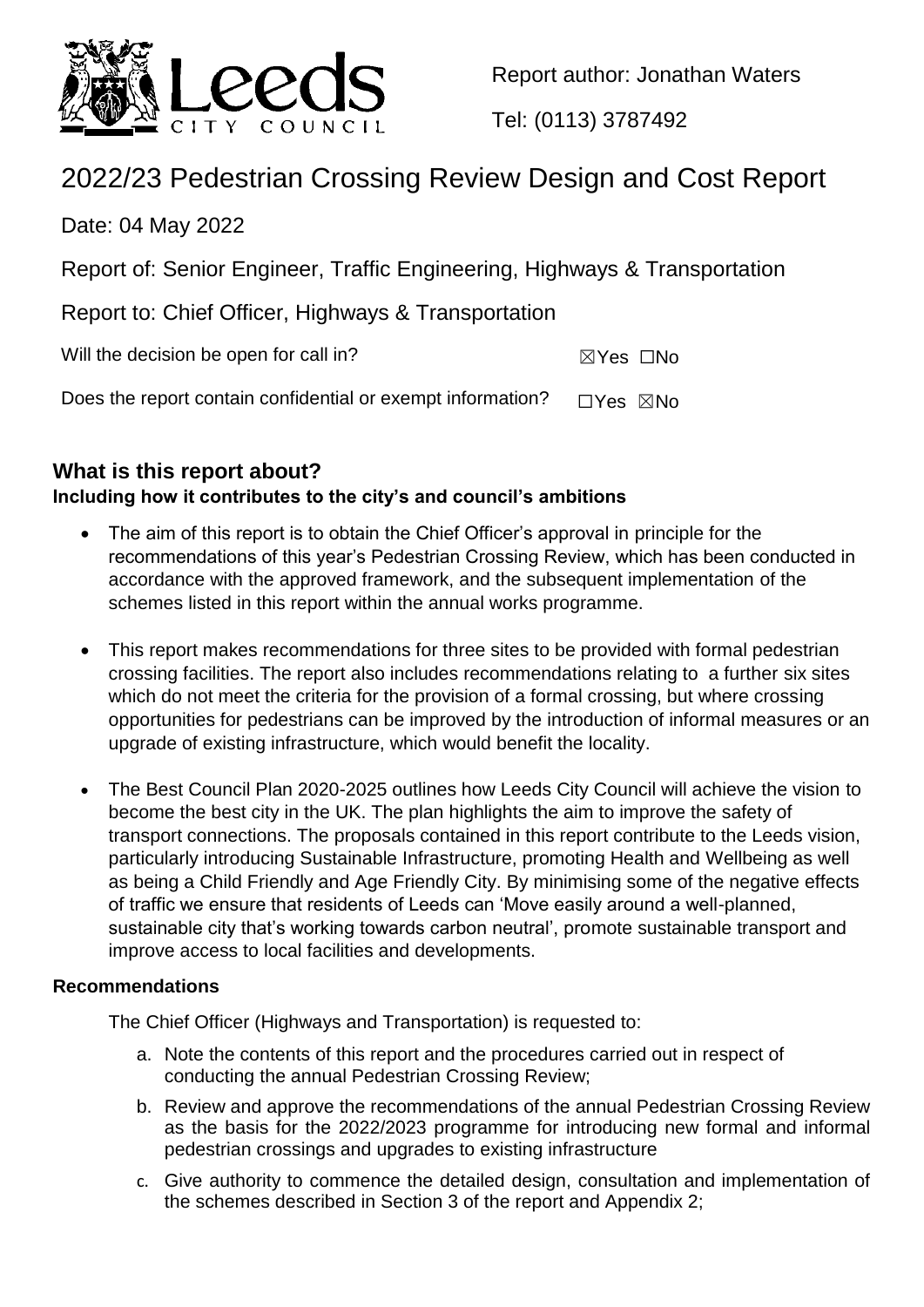

Report author: Jonathan Waters

Tel: (0113) 3787492

# 2022/23 Pedestrian Crossing Review Design and Cost Report

Date: 04 May 2022

Report of: Senior Engineer, Traffic Engineering, Highways & Transportation

Report to: Chief Officer, Highways & Transportation

Will the decision be open for call in?  $\boxtimes Y$ es  $\Box$ No

Does the report contain confidential or exempt information?  $\Box$ Yes  $\boxtimes$ No

# **What is this report about?**

## **Including how it contributes to the city's and council's ambitions**

- The aim of this report is to obtain the Chief Officer's approval in principle for the recommendations of this year's Pedestrian Crossing Review, which has been conducted in accordance with the approved framework, and the subsequent implementation of the schemes listed in this report within the annual works programme.
- This report makes recommendations for three sites to be provided with formal pedestrian crossing facilities. The report also includes recommendations relating to a further six sites which do not meet the criteria for the provision of a formal crossing, but where crossing opportunities for pedestrians can be improved by the introduction of informal measures or an upgrade of existing infrastructure, which would benefit the locality.
- The Best Council Plan 2020-2025 outlines how Leeds City Council will achieve the vision to become the best city in the UK. The plan highlights the aim to improve the safety of transport connections. The proposals contained in this report contribute to the Leeds vision, particularly introducing Sustainable Infrastructure, promoting Health and Wellbeing as well as being a Child Friendly and Age Friendly City. By minimising some of the negative effects of traffic we ensure that residents of Leeds can 'Move easily around a well-planned, sustainable city that's working towards carbon neutral', promote sustainable transport and improve access to local facilities and developments.

### **Recommendations**

The Chief Officer (Highways and Transportation) is requested to:

- a. Note the contents of this report and the procedures carried out in respect of conducting the annual Pedestrian Crossing Review;
- b. Review and approve the recommendations of the annual Pedestrian Crossing Review as the basis for the 2022/2023 programme for introducing new formal and informal pedestrian crossings and upgrades to existing infrastructure
- c. Give authority to commence the detailed design, consultation and implementation of the schemes described in Section 3 of the report and Appendix 2;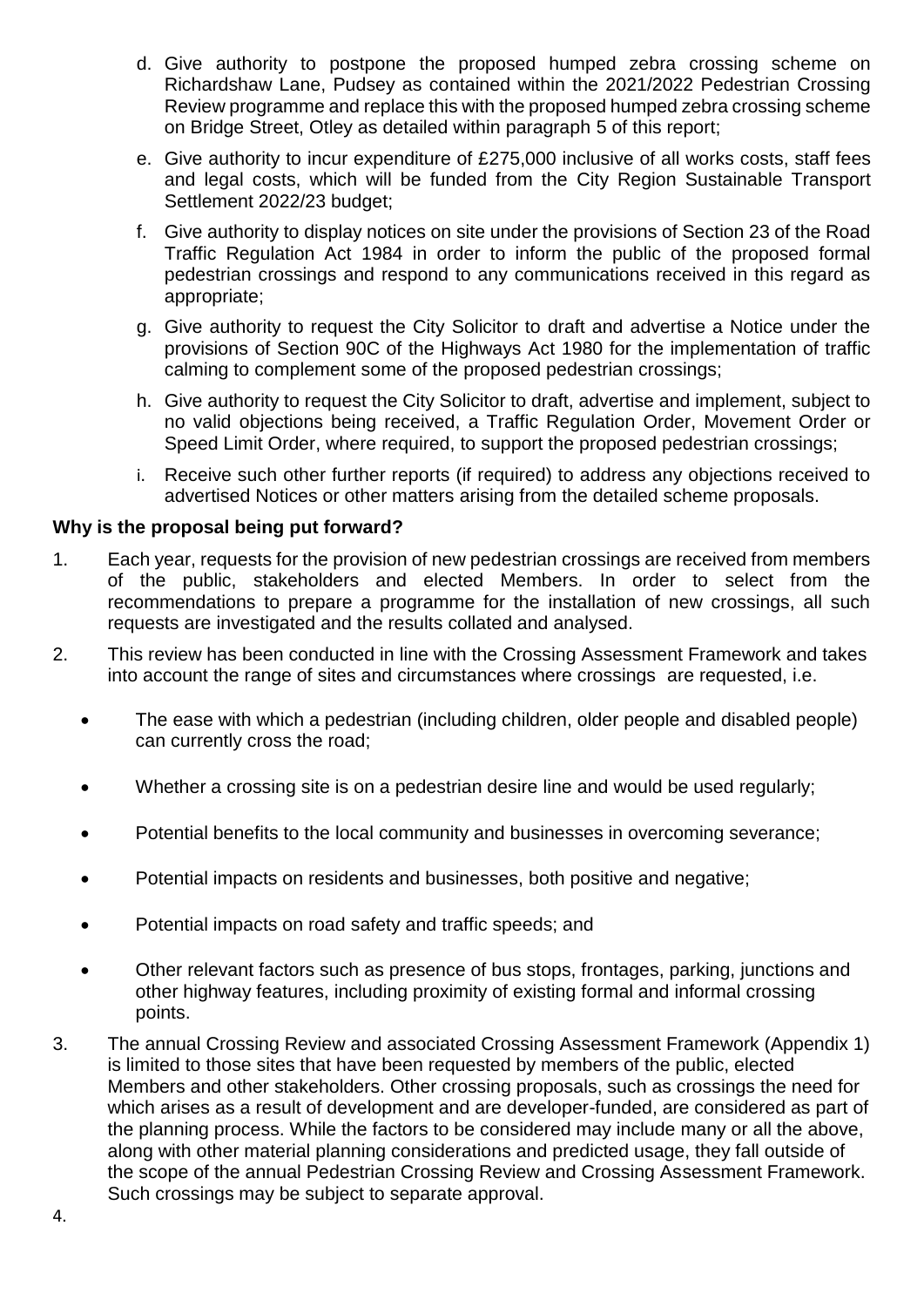- d. Give authority to postpone the proposed humped zebra crossing scheme on Richardshaw Lane, Pudsey as contained within the 2021/2022 Pedestrian Crossing Review programme and replace this with the proposed humped zebra crossing scheme on Bridge Street, Otley as detailed within paragraph 5 of this report;
- e. Give authority to incur expenditure of £275,000 inclusive of all works costs, staff fees and legal costs, which will be funded from the City Region Sustainable Transport Settlement 2022/23 budget;
- f. Give authority to display notices on site under the provisions of Section 23 of the Road Traffic Regulation Act 1984 in order to inform the public of the proposed formal pedestrian crossings and respond to any communications received in this regard as appropriate;
- g. Give authority to request the City Solicitor to draft and advertise a Notice under the provisions of Section 90C of the Highways Act 1980 for the implementation of traffic calming to complement some of the proposed pedestrian crossings;
- h. Give authority to request the City Solicitor to draft, advertise and implement, subject to no valid objections being received, a Traffic Regulation Order, Movement Order or Speed Limit Order, where required, to support the proposed pedestrian crossings;
- i. Receive such other further reports (if required) to address any objections received to advertised Notices or other matters arising from the detailed scheme proposals.

#### **Why is the proposal being put forward?**

- 1. Each year, requests for the provision of new pedestrian crossings are received from members of the public, stakeholders and elected Members. In order to select from the recommendations to prepare a programme for the installation of new crossings, all such requests are investigated and the results collated and analysed.
- 2. This review has been conducted in line with the Crossing Assessment Framework and takes into account the range of sites and circumstances where crossings are requested, i.e.
	- The ease with which a pedestrian (including children, older people and disabled people) can currently cross the road;
	- Whether a crossing site is on a pedestrian desire line and would be used regularly;
	- Potential benefits to the local community and businesses in overcoming severance;
	- Potential impacts on residents and businesses, both positive and negative;
	- Potential impacts on road safety and traffic speeds; and
	- Other relevant factors such as presence of bus stops, frontages, parking, junctions and other highway features, including proximity of existing formal and informal crossing points.
- 3. The annual Crossing Review and associated Crossing Assessment Framework (Appendix 1) is limited to those sites that have been requested by members of the public, elected Members and other stakeholders. Other crossing proposals, such as crossings the need for which arises as a result of development and are developer-funded, are considered as part of the planning process. While the factors to be considered may include many or all the above, along with other material planning considerations and predicted usage, they fall outside of the scope of the annual Pedestrian Crossing Review and Crossing Assessment Framework. Such crossings may be subject to separate approval.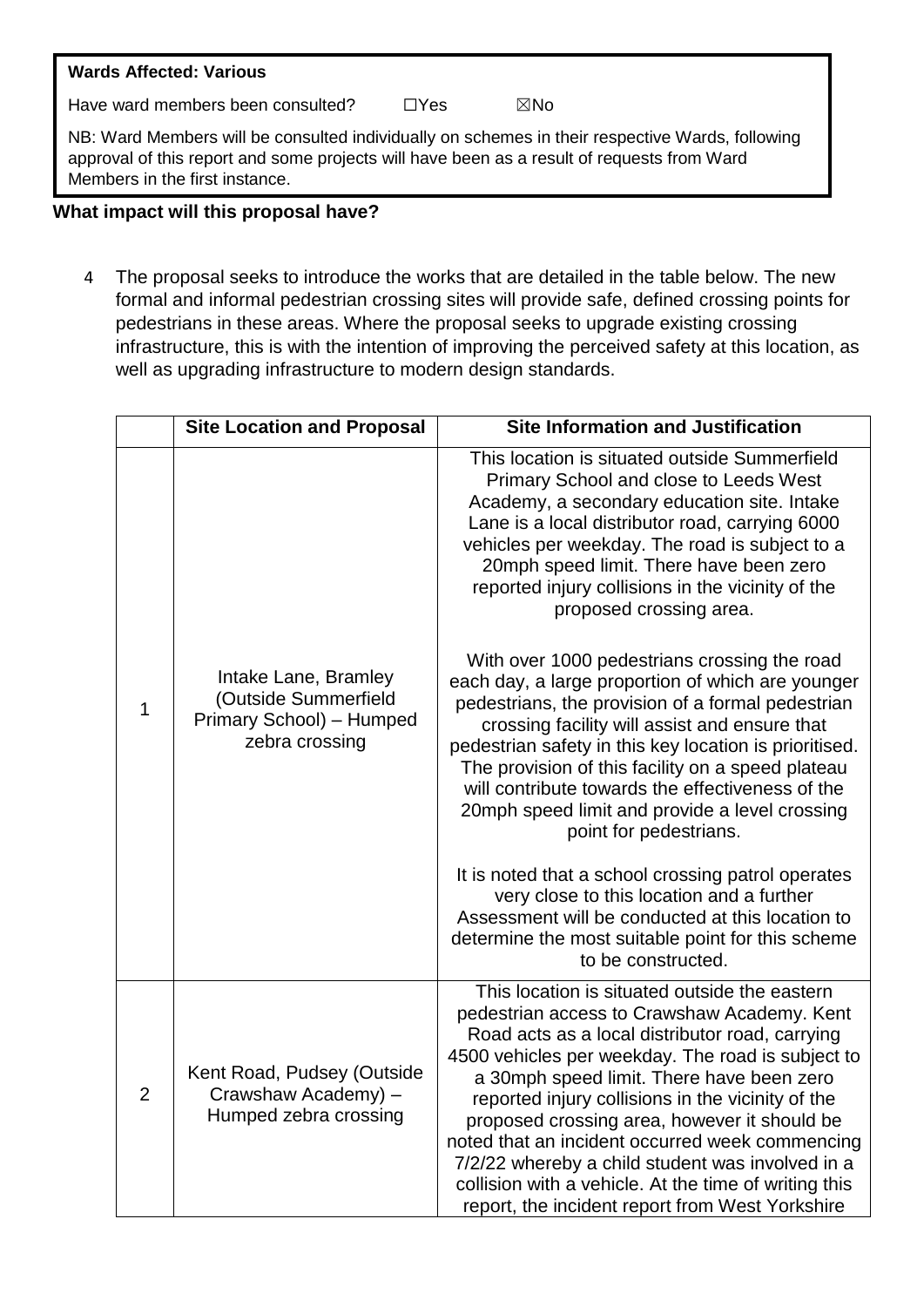# **Wards Affected: Various**

Have ward members been consulted?  $□Yes$   $□Yes$   $□ No$ 

NB: Ward Members will be consulted individually on schemes in their respective Wards, following approval of this report and some projects will have been as a result of requests from Ward Members in the first instance.

#### **What impact will this proposal have?**

4 The proposal seeks to introduce the works that are detailed in the table below. The new formal and informal pedestrian crossing sites will provide safe, defined crossing points for pedestrians in these areas. Where the proposal seeks to upgrade existing crossing infrastructure, this is with the intention of improving the perceived safety at this location, as well as upgrading infrastructure to modern design standards.

|              | <b>Site Location and Proposal</b>                                                          | <b>Site Information and Justification</b>                                                                                                                                                                                                                                                                                                                                                                                                                                                                                                                                 |  |  |
|--------------|--------------------------------------------------------------------------------------------|---------------------------------------------------------------------------------------------------------------------------------------------------------------------------------------------------------------------------------------------------------------------------------------------------------------------------------------------------------------------------------------------------------------------------------------------------------------------------------------------------------------------------------------------------------------------------|--|--|
| $\mathbf{1}$ |                                                                                            | This location is situated outside Summerfield<br>Primary School and close to Leeds West<br>Academy, a secondary education site. Intake<br>Lane is a local distributor road, carrying 6000<br>vehicles per weekday. The road is subject to a<br>20mph speed limit. There have been zero<br>reported injury collisions in the vicinity of the<br>proposed crossing area.                                                                                                                                                                                                    |  |  |
|              | Intake Lane, Bramley<br>(Outside Summerfield<br>Primary School) - Humped<br>zebra crossing | With over 1000 pedestrians crossing the road<br>each day, a large proportion of which are younger<br>pedestrians, the provision of a formal pedestrian<br>crossing facility will assist and ensure that<br>pedestrian safety in this key location is prioritised.<br>The provision of this facility on a speed plateau<br>will contribute towards the effectiveness of the<br>20mph speed limit and provide a level crossing<br>point for pedestrians.                                                                                                                    |  |  |
|              |                                                                                            | It is noted that a school crossing patrol operates<br>very close to this location and a further<br>Assessment will be conducted at this location to<br>determine the most suitable point for this scheme<br>to be constructed.                                                                                                                                                                                                                                                                                                                                            |  |  |
| 2            | Kent Road, Pudsey (Outside<br>Crawshaw Academy) -<br>Humped zebra crossing                 | This location is situated outside the eastern<br>pedestrian access to Crawshaw Academy. Kent<br>Road acts as a local distributor road, carrying<br>4500 vehicles per weekday. The road is subject to<br>a 30mph speed limit. There have been zero<br>reported injury collisions in the vicinity of the<br>proposed crossing area, however it should be<br>noted that an incident occurred week commencing<br>7/2/22 whereby a child student was involved in a<br>collision with a vehicle. At the time of writing this<br>report, the incident report from West Yorkshire |  |  |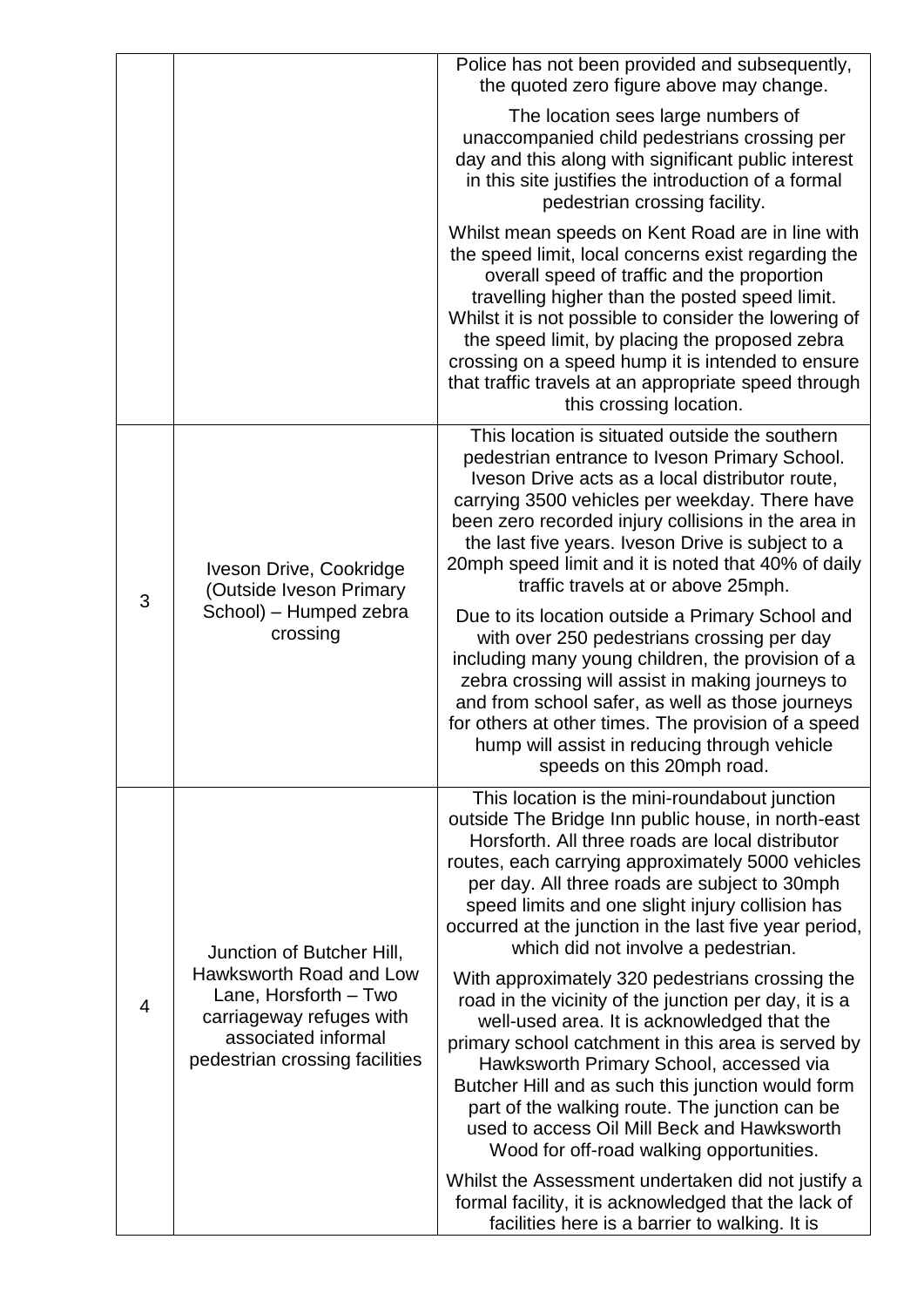|   |                                                                                                                                                                    | Police has not been provided and subsequently,<br>the quoted zero figure above may change.                                                                                                                                                                                                                                                                                                                                                                  |
|---|--------------------------------------------------------------------------------------------------------------------------------------------------------------------|-------------------------------------------------------------------------------------------------------------------------------------------------------------------------------------------------------------------------------------------------------------------------------------------------------------------------------------------------------------------------------------------------------------------------------------------------------------|
|   |                                                                                                                                                                    | The location sees large numbers of<br>unaccompanied child pedestrians crossing per<br>day and this along with significant public interest<br>in this site justifies the introduction of a formal<br>pedestrian crossing facility.                                                                                                                                                                                                                           |
|   |                                                                                                                                                                    | Whilst mean speeds on Kent Road are in line with<br>the speed limit, local concerns exist regarding the<br>overall speed of traffic and the proportion<br>travelling higher than the posted speed limit.<br>Whilst it is not possible to consider the lowering of<br>the speed limit, by placing the proposed zebra<br>crossing on a speed hump it is intended to ensure<br>that traffic travels at an appropriate speed through<br>this crossing location. |
|   | Iveson Drive, Cookridge<br>(Outside Iveson Primary<br>School) - Humped zebra<br>crossing                                                                           | This location is situated outside the southern<br>pedestrian entrance to Iveson Primary School.<br>Iveson Drive acts as a local distributor route,<br>carrying 3500 vehicles per weekday. There have<br>been zero recorded injury collisions in the area in<br>the last five years. Iveson Drive is subject to a<br>20mph speed limit and it is noted that 40% of daily<br>traffic travels at or above 25mph.                                               |
| 3 |                                                                                                                                                                    | Due to its location outside a Primary School and<br>with over 250 pedestrians crossing per day<br>including many young children, the provision of a<br>zebra crossing will assist in making journeys to<br>and from school safer, as well as those journeys<br>for others at other times. The provision of a speed<br>hump will assist in reducing through vehicle<br>speeds on this 20mph road.                                                            |
| 4 | Junction of Butcher Hill,<br>Hawksworth Road and Low<br>Lane, Horsforth - Two<br>carriageway refuges with<br>associated informal<br>pedestrian crossing facilities | This location is the mini-roundabout junction<br>outside The Bridge Inn public house, in north-east<br>Horsforth. All three roads are local distributor<br>routes, each carrying approximately 5000 vehicles<br>per day. All three roads are subject to 30mph<br>speed limits and one slight injury collision has<br>occurred at the junction in the last five year period,<br>which did not involve a pedestrian.                                          |
|   |                                                                                                                                                                    | With approximately 320 pedestrians crossing the<br>road in the vicinity of the junction per day, it is a<br>well-used area. It is acknowledged that the<br>primary school catchment in this area is served by<br>Hawksworth Primary School, accessed via<br>Butcher Hill and as such this junction would form<br>part of the walking route. The junction can be<br>used to access Oil Mill Beck and Hawksworth<br>Wood for off-road walking opportunities.  |
|   |                                                                                                                                                                    | Whilst the Assessment undertaken did not justify a<br>formal facility, it is acknowledged that the lack of<br>facilities here is a barrier to walking. It is                                                                                                                                                                                                                                                                                                |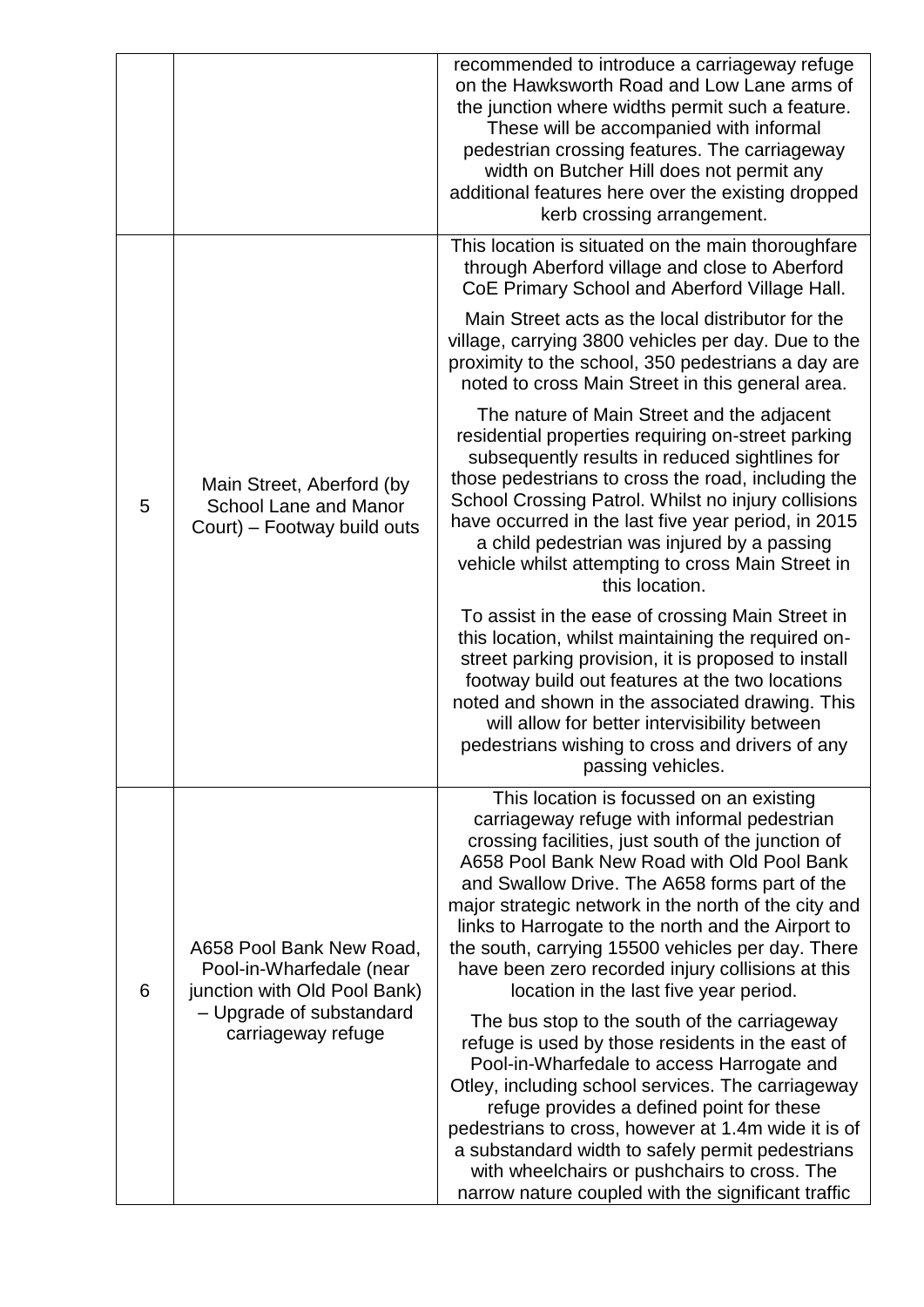|   |                                                                                                                                        | recommended to introduce a carriageway refuge<br>on the Hawksworth Road and Low Lane arms of<br>the junction where widths permit such a feature.<br>These will be accompanied with informal<br>pedestrian crossing features. The carriageway<br>width on Butcher Hill does not permit any<br>additional features here over the existing dropped<br>kerb crossing arrangement.                                                                                                                                  |  |  |  |
|---|----------------------------------------------------------------------------------------------------------------------------------------|----------------------------------------------------------------------------------------------------------------------------------------------------------------------------------------------------------------------------------------------------------------------------------------------------------------------------------------------------------------------------------------------------------------------------------------------------------------------------------------------------------------|--|--|--|
|   |                                                                                                                                        | This location is situated on the main thoroughfare<br>through Aberford village and close to Aberford<br>CoE Primary School and Aberford Village Hall.                                                                                                                                                                                                                                                                                                                                                          |  |  |  |
|   | Main Street, Aberford (by<br><b>School Lane and Manor</b><br>Court) – Footway build outs                                               | Main Street acts as the local distributor for the<br>village, carrying 3800 vehicles per day. Due to the<br>proximity to the school, 350 pedestrians a day are<br>noted to cross Main Street in this general area.                                                                                                                                                                                                                                                                                             |  |  |  |
| 5 |                                                                                                                                        | The nature of Main Street and the adjacent<br>residential properties requiring on-street parking<br>subsequently results in reduced sightlines for<br>those pedestrians to cross the road, including the<br>School Crossing Patrol. Whilst no injury collisions<br>have occurred in the last five year period, in 2015<br>a child pedestrian was injured by a passing<br>vehicle whilst attempting to cross Main Street in<br>this location.                                                                   |  |  |  |
|   |                                                                                                                                        | To assist in the ease of crossing Main Street in<br>this location, whilst maintaining the required on-<br>street parking provision, it is proposed to install<br>footway build out features at the two locations<br>noted and shown in the associated drawing. This<br>will allow for better intervisibility between<br>pedestrians wishing to cross and drivers of any<br>passing vehicles.                                                                                                                   |  |  |  |
| 6 | A658 Pool Bank New Road,<br>Pool-in-Wharfedale (near<br>junction with Old Pool Bank)<br>- Upgrade of substandard<br>carriageway refuge | This location is focussed on an existing<br>carriageway refuge with informal pedestrian<br>crossing facilities, just south of the junction of<br>A658 Pool Bank New Road with Old Pool Bank<br>and Swallow Drive. The A658 forms part of the<br>major strategic network in the north of the city and<br>links to Harrogate to the north and the Airport to<br>the south, carrying 15500 vehicles per day. There<br>have been zero recorded injury collisions at this<br>location in the last five year period. |  |  |  |
|   |                                                                                                                                        | The bus stop to the south of the carriageway<br>refuge is used by those residents in the east of<br>Pool-in-Wharfedale to access Harrogate and<br>Otley, including school services. The carriageway<br>refuge provides a defined point for these<br>pedestrians to cross, however at 1.4m wide it is of<br>a substandard width to safely permit pedestrians<br>with wheelchairs or pushchairs to cross. The<br>narrow nature coupled with the significant traffic                                              |  |  |  |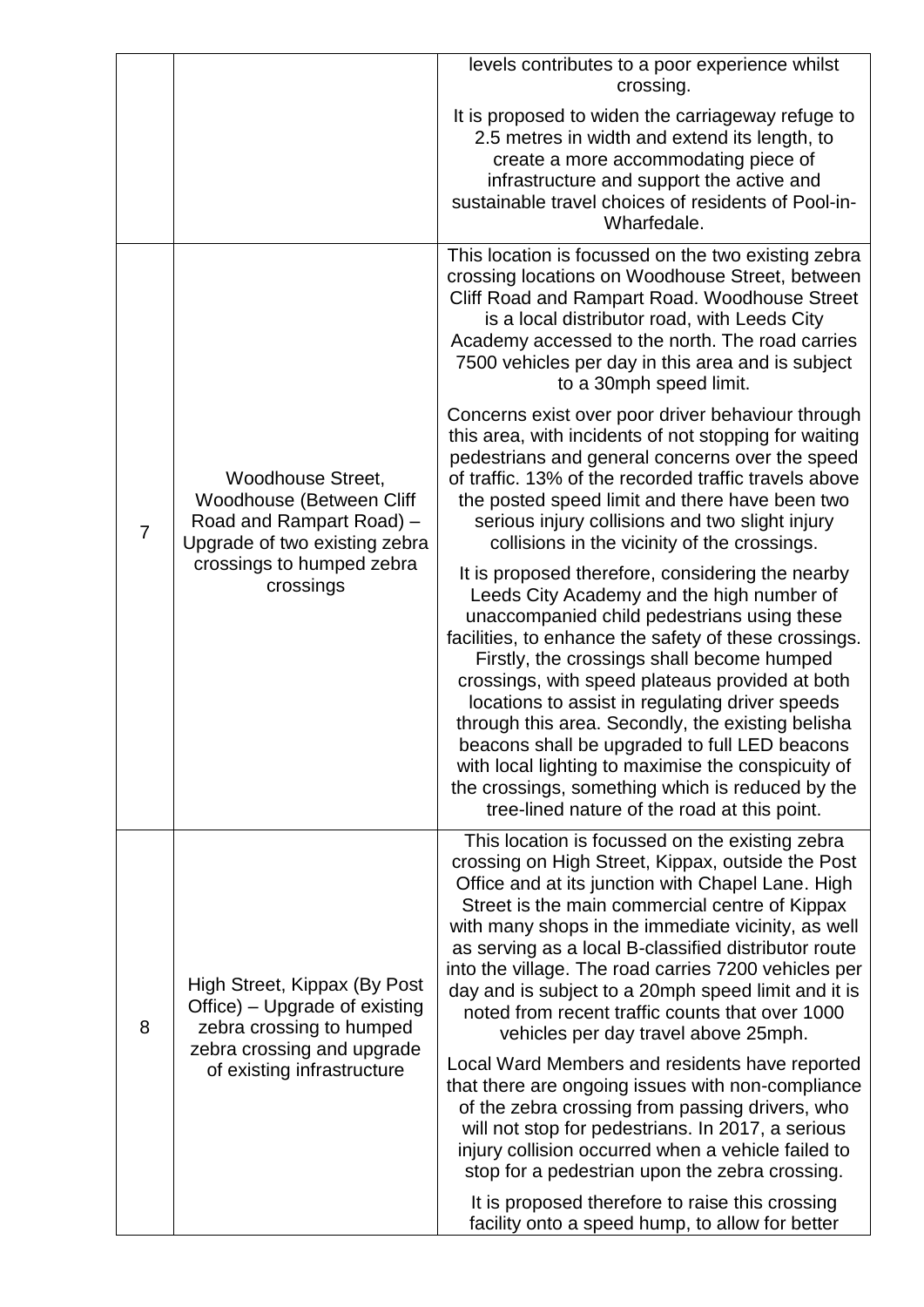|                |                                                                                                                                                             | levels contributes to a poor experience whilst<br>crossing.                                                                                                                                                                                                                                                                                                                                                                                                                                                                                                                                                               |
|----------------|-------------------------------------------------------------------------------------------------------------------------------------------------------------|---------------------------------------------------------------------------------------------------------------------------------------------------------------------------------------------------------------------------------------------------------------------------------------------------------------------------------------------------------------------------------------------------------------------------------------------------------------------------------------------------------------------------------------------------------------------------------------------------------------------------|
|                |                                                                                                                                                             | It is proposed to widen the carriageway refuge to<br>2.5 metres in width and extend its length, to<br>create a more accommodating piece of<br>infrastructure and support the active and<br>sustainable travel choices of residents of Pool-in-<br>Wharfedale.                                                                                                                                                                                                                                                                                                                                                             |
| $\overline{7}$ | <b>Woodhouse Street,</b><br>Woodhouse (Between Cliff<br>Road and Rampart Road) -<br>Upgrade of two existing zebra<br>crossings to humped zebra<br>crossings | This location is focussed on the two existing zebra<br>crossing locations on Woodhouse Street, between<br>Cliff Road and Rampart Road. Woodhouse Street<br>is a local distributor road, with Leeds City<br>Academy accessed to the north. The road carries<br>7500 vehicles per day in this area and is subject<br>to a 30mph speed limit.                                                                                                                                                                                                                                                                                |
|                |                                                                                                                                                             | Concerns exist over poor driver behaviour through<br>this area, with incidents of not stopping for waiting<br>pedestrians and general concerns over the speed<br>of traffic. 13% of the recorded traffic travels above<br>the posted speed limit and there have been two<br>serious injury collisions and two slight injury<br>collisions in the vicinity of the crossings.                                                                                                                                                                                                                                               |
|                |                                                                                                                                                             | It is proposed therefore, considering the nearby<br>Leeds City Academy and the high number of<br>unaccompanied child pedestrians using these<br>facilities, to enhance the safety of these crossings.<br>Firstly, the crossings shall become humped<br>crossings, with speed plateaus provided at both<br>locations to assist in regulating driver speeds<br>through this area. Secondly, the existing belisha<br>beacons shall be upgraded to full LED beacons<br>with local lighting to maximise the conspicuity of<br>the crossings, something which is reduced by the<br>tree-lined nature of the road at this point. |
| 8              | High Street, Kippax (By Post<br>Office) – Upgrade of existing<br>zebra crossing to humped<br>zebra crossing and upgrade<br>of existing infrastructure       | This location is focussed on the existing zebra<br>crossing on High Street, Kippax, outside the Post<br>Office and at its junction with Chapel Lane. High<br>Street is the main commercial centre of Kippax<br>with many shops in the immediate vicinity, as well<br>as serving as a local B-classified distributor route<br>into the village. The road carries 7200 vehicles per<br>day and is subject to a 20mph speed limit and it is<br>noted from recent traffic counts that over 1000<br>vehicles per day travel above 25mph.                                                                                       |
|                |                                                                                                                                                             | Local Ward Members and residents have reported<br>that there are ongoing issues with non-compliance<br>of the zebra crossing from passing drivers, who<br>will not stop for pedestrians. In 2017, a serious<br>injury collision occurred when a vehicle failed to<br>stop for a pedestrian upon the zebra crossing.                                                                                                                                                                                                                                                                                                       |
|                |                                                                                                                                                             | It is proposed therefore to raise this crossing<br>facility onto a speed hump, to allow for better                                                                                                                                                                                                                                                                                                                                                                                                                                                                                                                        |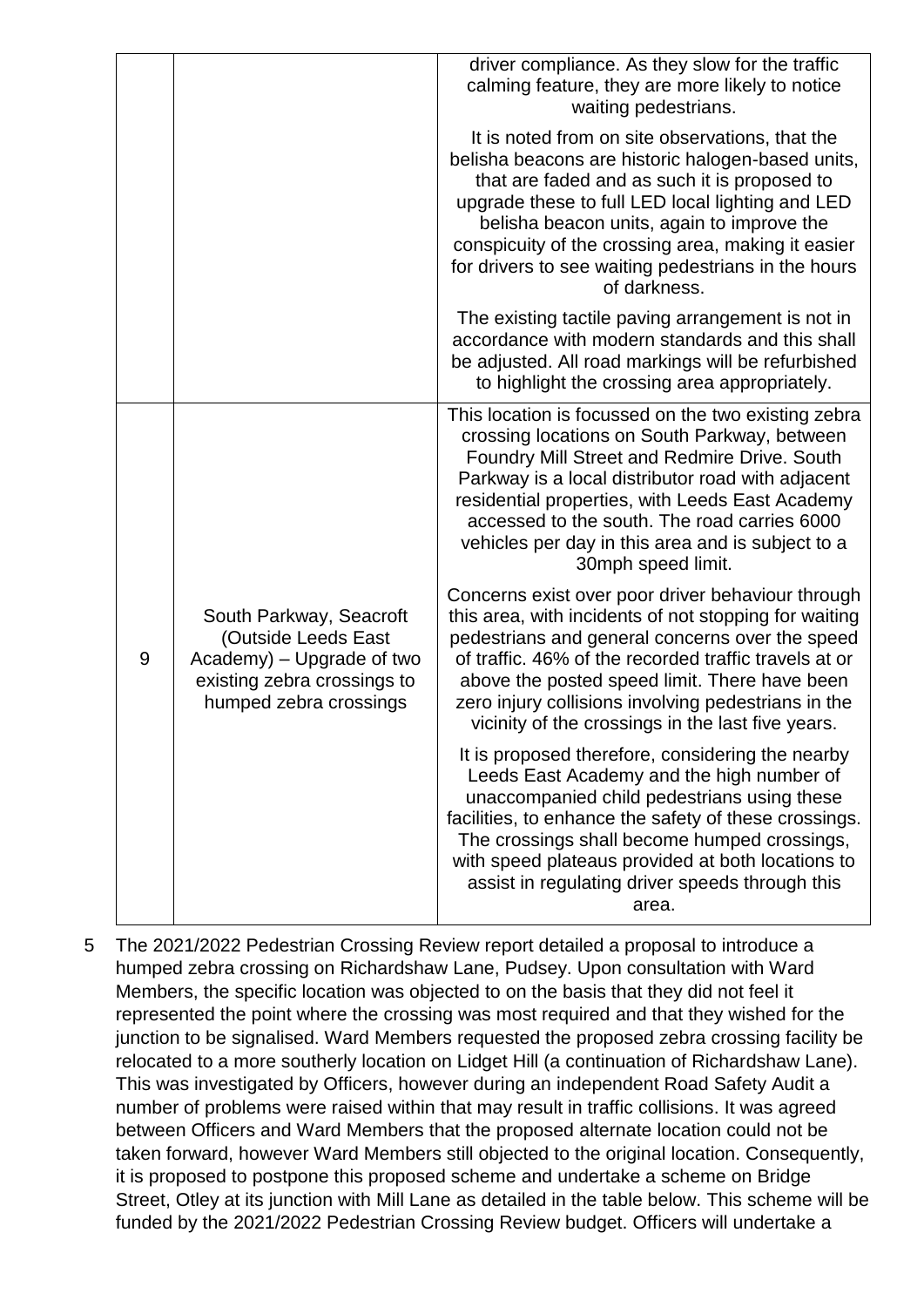|   |                                                                                                                                      | driver compliance. As they slow for the traffic<br>calming feature, they are more likely to notice<br>waiting pedestrians.                                                                                                                                                                                                                                                             |
|---|--------------------------------------------------------------------------------------------------------------------------------------|----------------------------------------------------------------------------------------------------------------------------------------------------------------------------------------------------------------------------------------------------------------------------------------------------------------------------------------------------------------------------------------|
|   |                                                                                                                                      | It is noted from on site observations, that the<br>belisha beacons are historic halogen-based units,<br>that are faded and as such it is proposed to<br>upgrade these to full LED local lighting and LED<br>belisha beacon units, again to improve the<br>conspicuity of the crossing area, making it easier<br>for drivers to see waiting pedestrians in the hours<br>of darkness.    |
|   |                                                                                                                                      | The existing tactile paving arrangement is not in<br>accordance with modern standards and this shall<br>be adjusted. All road markings will be refurbished<br>to highlight the crossing area appropriately.                                                                                                                                                                            |
|   |                                                                                                                                      | This location is focussed on the two existing zebra<br>crossing locations on South Parkway, between<br>Foundry Mill Street and Redmire Drive. South<br>Parkway is a local distributor road with adjacent<br>residential properties, with Leeds East Academy<br>accessed to the south. The road carries 6000<br>vehicles per day in this area and is subject to a<br>30mph speed limit. |
| 9 | South Parkway, Seacroft<br>(Outside Leeds East<br>Academy) - Upgrade of two<br>existing zebra crossings to<br>humped zebra crossings | Concerns exist over poor driver behaviour through<br>this area, with incidents of not stopping for waiting<br>pedestrians and general concerns over the speed<br>of traffic. 46% of the recorded traffic travels at or<br>above the posted speed limit. There have been<br>zero injury collisions involving pedestrians in the<br>vicinity of the crossings in the last five years.    |
|   |                                                                                                                                      | It is proposed therefore, considering the nearby<br>Leeds East Academy and the high number of<br>unaccompanied child pedestrians using these<br>facilities, to enhance the safety of these crossings.<br>The crossings shall become humped crossings,<br>with speed plateaus provided at both locations to<br>assist in regulating driver speeds through this<br>area.                 |

5 The 2021/2022 Pedestrian Crossing Review report detailed a proposal to introduce a humped zebra crossing on Richardshaw Lane, Pudsey. Upon consultation with Ward Members, the specific location was objected to on the basis that they did not feel it represented the point where the crossing was most required and that they wished for the junction to be signalised. Ward Members requested the proposed zebra crossing facility be relocated to a more southerly location on Lidget Hill (a continuation of Richardshaw Lane). This was investigated by Officers, however during an independent Road Safety Audit a number of problems were raised within that may result in traffic collisions. It was agreed between Officers and Ward Members that the proposed alternate location could not be taken forward, however Ward Members still objected to the original location. Consequently, it is proposed to postpone this proposed scheme and undertake a scheme on Bridge Street, Otley at its junction with Mill Lane as detailed in the table below. This scheme will be funded by the 2021/2022 Pedestrian Crossing Review budget. Officers will undertake a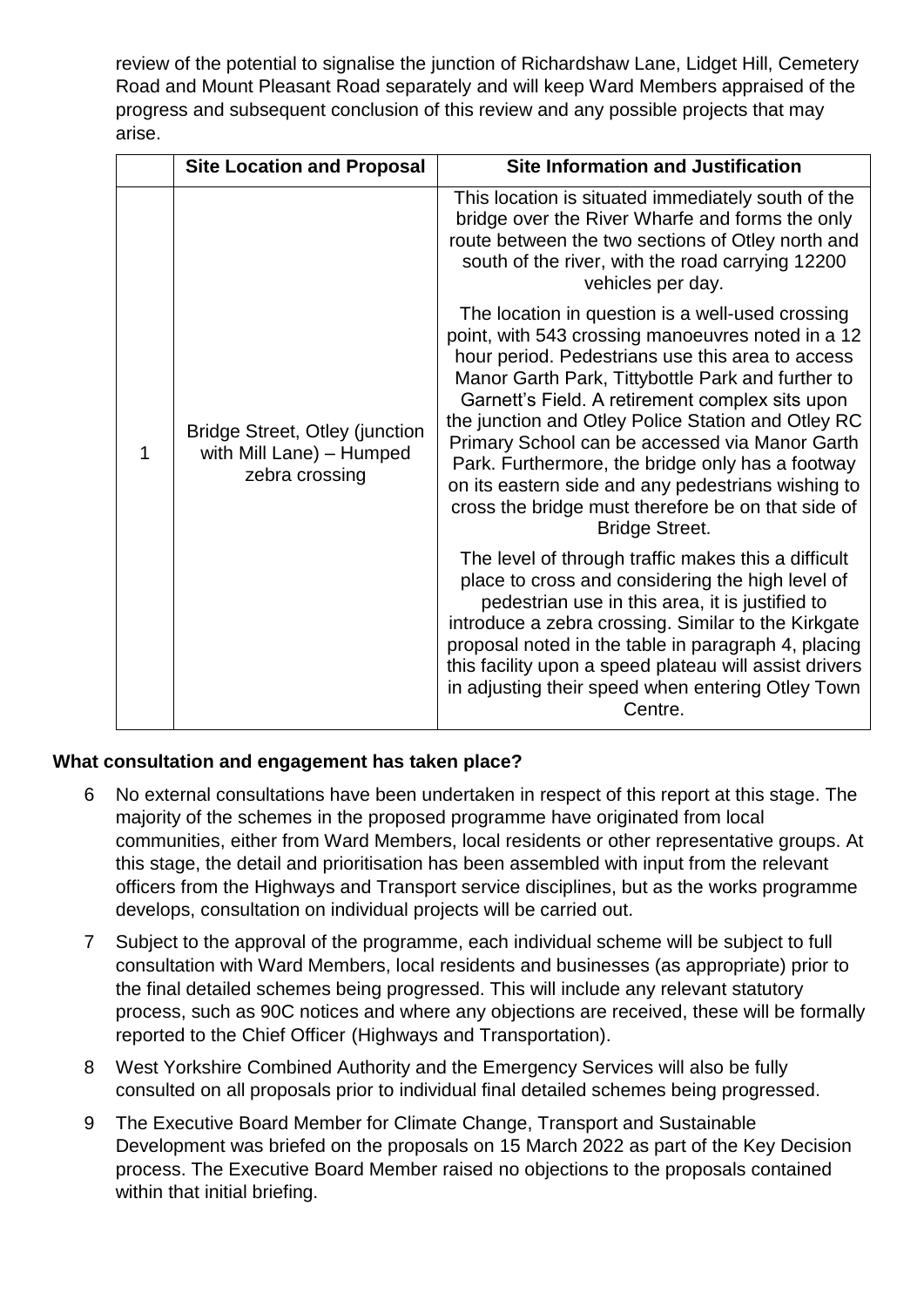review of the potential to signalise the junction of Richardshaw Lane, Lidget Hill, Cemetery Road and Mount Pleasant Road separately and will keep Ward Members appraised of the progress and subsequent conclusion of this review and any possible projects that may arise.

| <b>Site Location and Proposal</b>                                                   | <b>Site Information and Justification</b>                                                                                                                                                                                                                                                                                                                                                                                                                                                                                                                          |  |  |  |  |
|-------------------------------------------------------------------------------------|--------------------------------------------------------------------------------------------------------------------------------------------------------------------------------------------------------------------------------------------------------------------------------------------------------------------------------------------------------------------------------------------------------------------------------------------------------------------------------------------------------------------------------------------------------------------|--|--|--|--|
| <b>Bridge Street, Otley (junction</b><br>with Mill Lane) - Humped<br>zebra crossing | This location is situated immediately south of the<br>bridge over the River Wharfe and forms the only<br>route between the two sections of Otley north and<br>south of the river, with the road carrying 12200<br>vehicles per day.                                                                                                                                                                                                                                                                                                                                |  |  |  |  |
|                                                                                     | The location in question is a well-used crossing<br>point, with 543 crossing manoeuvres noted in a 12<br>hour period. Pedestrians use this area to access<br>Manor Garth Park, Tittybottle Park and further to<br>Garnett's Field. A retirement complex sits upon<br>the junction and Otley Police Station and Otley RC<br>Primary School can be accessed via Manor Garth<br>Park. Furthermore, the bridge only has a footway<br>on its eastern side and any pedestrians wishing to<br>cross the bridge must therefore be on that side of<br><b>Bridge Street.</b> |  |  |  |  |
|                                                                                     | The level of through traffic makes this a difficult<br>place to cross and considering the high level of<br>pedestrian use in this area, it is justified to<br>introduce a zebra crossing. Similar to the Kirkgate<br>proposal noted in the table in paragraph 4, placing<br>this facility upon a speed plateau will assist drivers<br>in adjusting their speed when entering Otley Town<br>Centre.                                                                                                                                                                 |  |  |  |  |

### **What consultation and engagement has taken place?**

- 6 No external consultations have been undertaken in respect of this report at this stage. The majority of the schemes in the proposed programme have originated from local communities, either from Ward Members, local residents or other representative groups. At this stage, the detail and prioritisation has been assembled with input from the relevant officers from the Highways and Transport service disciplines, but as the works programme develops, consultation on individual projects will be carried out.
- 7 Subject to the approval of the programme, each individual scheme will be subject to full consultation with Ward Members, local residents and businesses (as appropriate) prior to the final detailed schemes being progressed. This will include any relevant statutory process, such as 90C notices and where any objections are received, these will be formally reported to the Chief Officer (Highways and Transportation).
- 8 West Yorkshire Combined Authority and the Emergency Services will also be fully consulted on all proposals prior to individual final detailed schemes being progressed.
- 9 The Executive Board Member for Climate Change, Transport and Sustainable Development was briefed on the proposals on 15 March 2022 as part of the Key Decision process. The Executive Board Member raised no objections to the proposals contained within that initial briefing.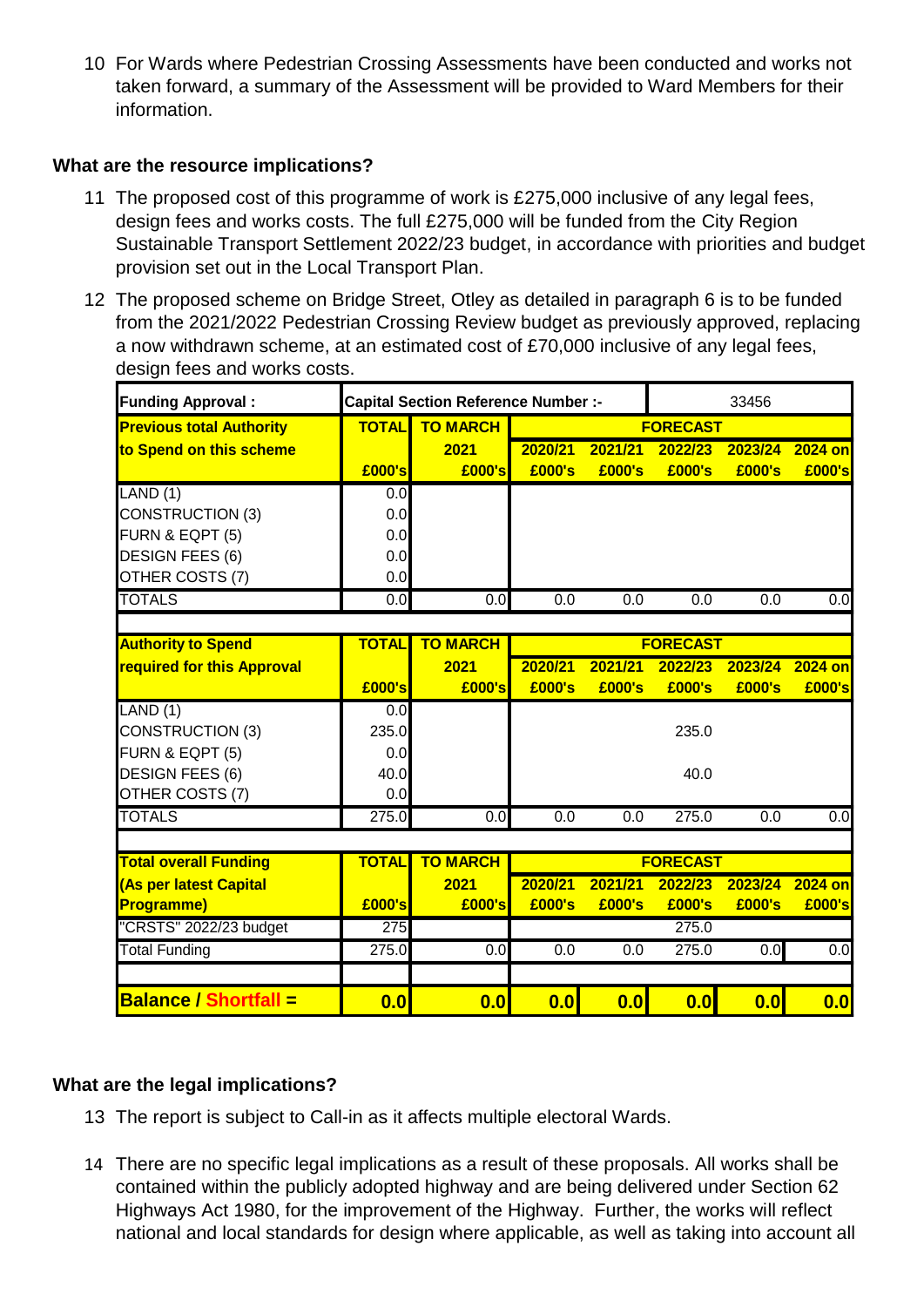10 For Wards where Pedestrian Crossing Assessments have been conducted and works not taken forward, a summary of the Assessment will be provided to Ward Members for their information.

### **What are the resource implications?**

- 11 The proposed cost of this programme of work is £275,000 inclusive of any legal fees, design fees and works costs. The full £275,000 will be funded from the City Region Sustainable Transport Settlement 2022/23 budget, in accordance with priorities and budget provision set out in the Local Transport Plan.
- 12 The proposed scheme on Bridge Street, Otley as detailed in paragraph 6 is to be funded from the 2021/2022 Pedestrian Crossing Review budget as previously approved, replacing a now withdrawn scheme, at an estimated cost of £70,000 inclusive of any legal fees, design fees and works costs.

| <b>Funding Approval:</b>        | <b>Capital Section Reference Number:-</b> |                  |                 | 33456            |                  |                  |                  |
|---------------------------------|-------------------------------------------|------------------|-----------------|------------------|------------------|------------------|------------------|
| <b>Previous total Authority</b> | <b>TOTAL</b>                              | <b>TO MARCH</b>  | <b>FORECAST</b> |                  |                  |                  |                  |
| to Spend on this scheme         |                                           | 2021             | 2020/21         | 2021/21          | 2022/23          | 2023/24          | <b>2024 on</b>   |
|                                 | £000's                                    | £000's           | £000's          | £000's           | £000's           | £000's           | £000's           |
| LAND(1)                         | 0.0                                       |                  |                 |                  |                  |                  |                  |
| <b>CONSTRUCTION (3)</b>         | 0.0                                       |                  |                 |                  |                  |                  |                  |
| FURN & EQPT (5)                 | 0.0                                       |                  |                 |                  |                  |                  |                  |
| <b>DESIGN FEES (6)</b>          | 0.0                                       |                  |                 |                  |                  |                  |                  |
| OTHER COSTS (7)                 | 0.0                                       |                  |                 |                  |                  |                  |                  |
| <b>TOTALS</b>                   | 0.0                                       | 0.0              | 0.0             | $\overline{0.0}$ | $\overline{0.0}$ | $\overline{0.0}$ | $\overline{0.0}$ |
|                                 |                                           |                  |                 |                  |                  |                  |                  |
| <b>Authority to Spend</b>       | <b>TOTAL</b>                              | <b>TO MARCH</b>  |                 |                  | <b>FORECAST</b>  |                  |                  |
| required for this Approval      |                                           | 2021             | 2020/21         | 2021/21          | 2022/23          | 2023/24          | 2024 on          |
|                                 | £000's                                    | £000's           | £000's          | £000's           | £000's           | £000's           | £000's           |
| LAND(1)                         | 0.0                                       |                  |                 |                  |                  |                  |                  |
| <b>CONSTRUCTION (3)</b>         | 235.0                                     |                  |                 |                  | 235.0            |                  |                  |
| FURN & EQPT (5)                 | 0.0                                       |                  |                 |                  |                  |                  |                  |
| <b>DESIGN FEES (6)</b>          | 40.0                                      |                  |                 |                  | 40.0             |                  |                  |
| OTHER COSTS (7)                 | 0.0                                       |                  |                 |                  |                  |                  |                  |
| <b>TOTALS</b>                   | 275.0                                     | $\overline{0.0}$ | 0.0             | 0.0              | 275.0            | $\overline{0.0}$ | $\overline{0.0}$ |
|                                 |                                           |                  |                 |                  |                  |                  |                  |
| <b>Total overall Funding</b>    | <b>TOTAL</b>                              | <b>TO MARCH</b>  | <b>FORECAST</b> |                  |                  |                  |                  |
| (As per latest Capital          |                                           | 2021             | 2020/21         | 2021/21          | 2022/23          | 2023/24          | <b>2024 on</b>   |
| <b>Programme)</b>               | £000's                                    | £000's           | £000's          | £000's           | £000's           | £000's           | £000's           |
| "CRSTS" 2022/23 budget          | 275                                       |                  |                 |                  | 275.0            |                  |                  |
| <b>Total Funding</b>            | 275.0                                     | 0.0              | 0.0             | $\overline{0.0}$ | 275.0            | 0.0              | $\overline{0.0}$ |
|                                 |                                           |                  |                 |                  |                  |                  |                  |
| <b>Balance / Shortfall =</b>    | 0.0                                       | $\overline{0.0}$ | 0.0             | 0.0              | 0.0              | 0.0              | 0.0              |

## **What are the legal implications?**

- 13 The report is subject to Call-in as it affects multiple electoral Wards.
- 14 There are no specific legal implications as a result of these proposals. All works shall be contained within the publicly adopted highway and are being delivered under Section 62 Highways Act 1980, for the improvement of the Highway. Further, the works will reflect national and local standards for design where applicable, as well as taking into account all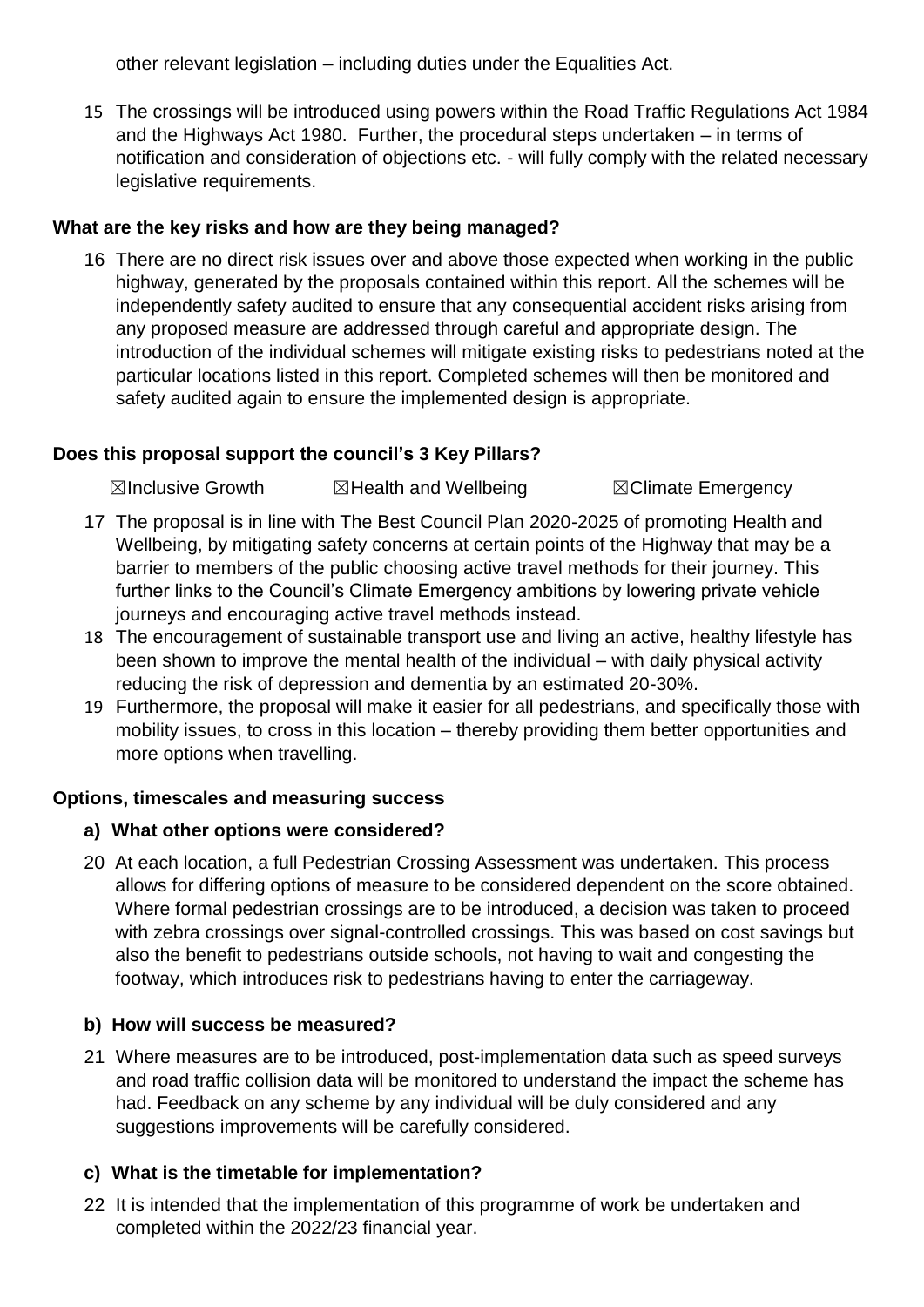other relevant legislation – including duties under the Equalities Act.

15 The crossings will be introduced using powers within the Road Traffic Regulations Act 1984 and the Highways Act 1980. Further, the procedural steps undertaken – in terms of notification and consideration of objections etc. - will fully comply with the related necessary legislative requirements.

### **What are the key risks and how are they being managed?**

16 There are no direct risk issues over and above those expected when working in the public highway, generated by the proposals contained within this report. All the schemes will be independently safety audited to ensure that any consequential accident risks arising from any proposed measure are addressed through careful and appropriate design. The introduction of the individual schemes will mitigate existing risks to pedestrians noted at the particular locations listed in this report. Completed schemes will then be monitored and safety audited again to ensure the implemented design is appropriate.

## **Does this proposal support the council's 3 Key Pillars?**

☒Inclusive Growth ☒Health and Wellbeing ☒Climate Emergency

- 17 The proposal is in line with The Best Council Plan 2020-2025 of promoting Health and Wellbeing, by mitigating safety concerns at certain points of the Highway that may be a barrier to members of the public choosing active travel methods for their journey. This further links to the Council's Climate Emergency ambitions by lowering private vehicle journeys and encouraging active travel methods instead.
- 18 The encouragement of sustainable transport use and living an active, healthy lifestyle has been shown to improve the mental health of the individual – with daily physical activity reducing the risk of depression and dementia by an estimated 20-30%.
- 19 Furthermore, the proposal will make it easier for all pedestrians, and specifically those with mobility issues, to cross in this location – thereby providing them better opportunities and more options when travelling.

### **Options, timescales and measuring success**

### **a) What other options were considered?**

20 At each location, a full Pedestrian Crossing Assessment was undertaken. This process allows for differing options of measure to be considered dependent on the score obtained. Where formal pedestrian crossings are to be introduced, a decision was taken to proceed with zebra crossings over signal-controlled crossings. This was based on cost savings but also the benefit to pedestrians outside schools, not having to wait and congesting the footway, which introduces risk to pedestrians having to enter the carriageway.

## **b) How will success be measured?**

21 Where measures are to be introduced, post-implementation data such as speed surveys and road traffic collision data will be monitored to understand the impact the scheme has had. Feedback on any scheme by any individual will be duly considered and any suggestions improvements will be carefully considered.

## **c) What is the timetable for implementation?**

22 It is intended that the implementation of this programme of work be undertaken and completed within the 2022/23 financial year.